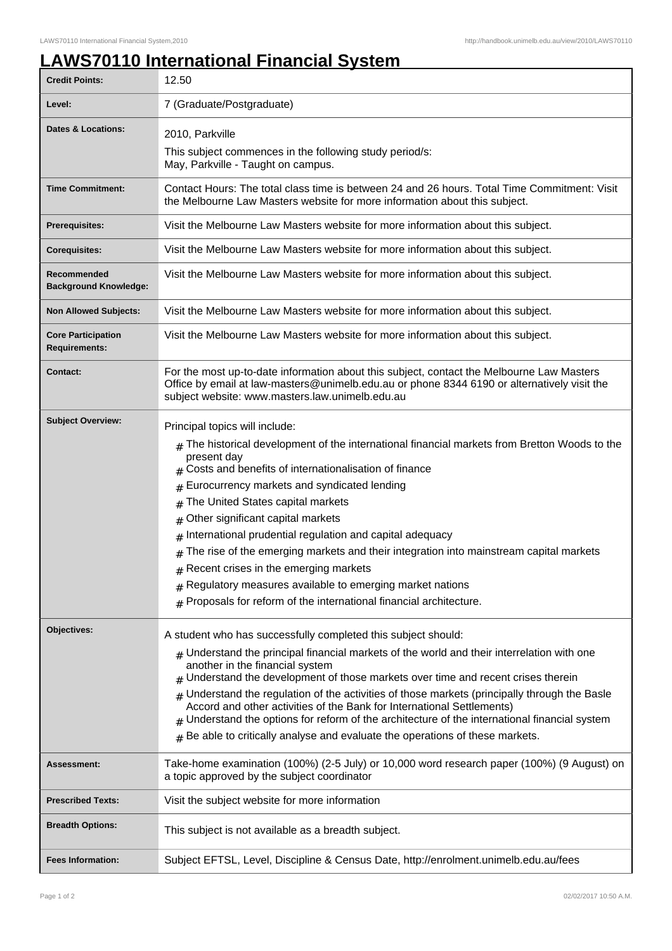## **LAWS70110 International Financial System**

| <b>Credit Points:</b>                             | 12.50                                                                                                                                                                                                                                                                                                                                                                                                                                                                                                                                                                                                                                                                                                                                                                                                                                                                                                                                                                                                                                                                                                                                                                                                                                                          |
|---------------------------------------------------|----------------------------------------------------------------------------------------------------------------------------------------------------------------------------------------------------------------------------------------------------------------------------------------------------------------------------------------------------------------------------------------------------------------------------------------------------------------------------------------------------------------------------------------------------------------------------------------------------------------------------------------------------------------------------------------------------------------------------------------------------------------------------------------------------------------------------------------------------------------------------------------------------------------------------------------------------------------------------------------------------------------------------------------------------------------------------------------------------------------------------------------------------------------------------------------------------------------------------------------------------------------|
| Level:                                            | 7 (Graduate/Postgraduate)                                                                                                                                                                                                                                                                                                                                                                                                                                                                                                                                                                                                                                                                                                                                                                                                                                                                                                                                                                                                                                                                                                                                                                                                                                      |
| Dates & Locations:                                | 2010, Parkville                                                                                                                                                                                                                                                                                                                                                                                                                                                                                                                                                                                                                                                                                                                                                                                                                                                                                                                                                                                                                                                                                                                                                                                                                                                |
|                                                   | This subject commences in the following study period/s:<br>May, Parkville - Taught on campus.                                                                                                                                                                                                                                                                                                                                                                                                                                                                                                                                                                                                                                                                                                                                                                                                                                                                                                                                                                                                                                                                                                                                                                  |
| <b>Time Commitment:</b>                           | Contact Hours: The total class time is between 24 and 26 hours. Total Time Commitment: Visit<br>the Melbourne Law Masters website for more information about this subject.                                                                                                                                                                                                                                                                                                                                                                                                                                                                                                                                                                                                                                                                                                                                                                                                                                                                                                                                                                                                                                                                                     |
| <b>Prerequisites:</b>                             | Visit the Melbourne Law Masters website for more information about this subject.                                                                                                                                                                                                                                                                                                                                                                                                                                                                                                                                                                                                                                                                                                                                                                                                                                                                                                                                                                                                                                                                                                                                                                               |
| <b>Corequisites:</b>                              | Visit the Melbourne Law Masters website for more information about this subject.                                                                                                                                                                                                                                                                                                                                                                                                                                                                                                                                                                                                                                                                                                                                                                                                                                                                                                                                                                                                                                                                                                                                                                               |
| Recommended<br><b>Background Knowledge:</b>       | Visit the Melbourne Law Masters website for more information about this subject.                                                                                                                                                                                                                                                                                                                                                                                                                                                                                                                                                                                                                                                                                                                                                                                                                                                                                                                                                                                                                                                                                                                                                                               |
| <b>Non Allowed Subjects:</b>                      | Visit the Melbourne Law Masters website for more information about this subject.                                                                                                                                                                                                                                                                                                                                                                                                                                                                                                                                                                                                                                                                                                                                                                                                                                                                                                                                                                                                                                                                                                                                                                               |
| <b>Core Participation</b><br><b>Requirements:</b> | Visit the Melbourne Law Masters website for more information about this subject.                                                                                                                                                                                                                                                                                                                                                                                                                                                                                                                                                                                                                                                                                                                                                                                                                                                                                                                                                                                                                                                                                                                                                                               |
| <b>Contact:</b>                                   | For the most up-to-date information about this subject, contact the Melbourne Law Masters<br>Office by email at law-masters@unimelb.edu.au or phone 8344 6190 or alternatively visit the<br>subject website: www.masters.law.unimelb.edu.au                                                                                                                                                                                                                                                                                                                                                                                                                                                                                                                                                                                                                                                                                                                                                                                                                                                                                                                                                                                                                    |
| <b>Subject Overview:</b><br>Objectives:           | Principal topics will include:<br>The historical development of the international financial markets from Bretton Woods to the<br>present day<br>Costs and benefits of internationalisation of finance<br>Eurocurrency markets and syndicated lending<br>The United States capital markets<br>#<br>Other significant capital markets<br>#<br>International prudential regulation and capital adequacy<br>#<br>The rise of the emerging markets and their integration into mainstream capital markets<br>Recent crises in the emerging markets<br>#<br>$#$ Regulatory measures available to emerging market nations<br>$#$ Proposals for reform of the international financial architecture.<br>A student who has successfully completed this subject should:<br>$#$ Understand the principal financial markets of the world and their interrelation with one<br>another in the financial system<br>Understand the development of those markets over time and recent crises therein<br>Understand the regulation of the activities of those markets (principally through the Basle<br>#<br>Accord and other activities of the Bank for International Settlements)<br>Understand the options for reform of the architecture of the international financial system |
| <b>Assessment:</b>                                | Be able to critically analyse and evaluate the operations of these markets.<br>#<br>Take-home examination (100%) (2-5 July) or 10,000 word research paper (100%) (9 August) on                                                                                                                                                                                                                                                                                                                                                                                                                                                                                                                                                                                                                                                                                                                                                                                                                                                                                                                                                                                                                                                                                 |
|                                                   | a topic approved by the subject coordinator                                                                                                                                                                                                                                                                                                                                                                                                                                                                                                                                                                                                                                                                                                                                                                                                                                                                                                                                                                                                                                                                                                                                                                                                                    |
| <b>Prescribed Texts:</b>                          | Visit the subject website for more information                                                                                                                                                                                                                                                                                                                                                                                                                                                                                                                                                                                                                                                                                                                                                                                                                                                                                                                                                                                                                                                                                                                                                                                                                 |
| <b>Breadth Options:</b>                           | This subject is not available as a breadth subject.                                                                                                                                                                                                                                                                                                                                                                                                                                                                                                                                                                                                                                                                                                                                                                                                                                                                                                                                                                                                                                                                                                                                                                                                            |
| <b>Fees Information:</b>                          | Subject EFTSL, Level, Discipline & Census Date, http://enrolment.unimelb.edu.au/fees                                                                                                                                                                                                                                                                                                                                                                                                                                                                                                                                                                                                                                                                                                                                                                                                                                                                                                                                                                                                                                                                                                                                                                           |